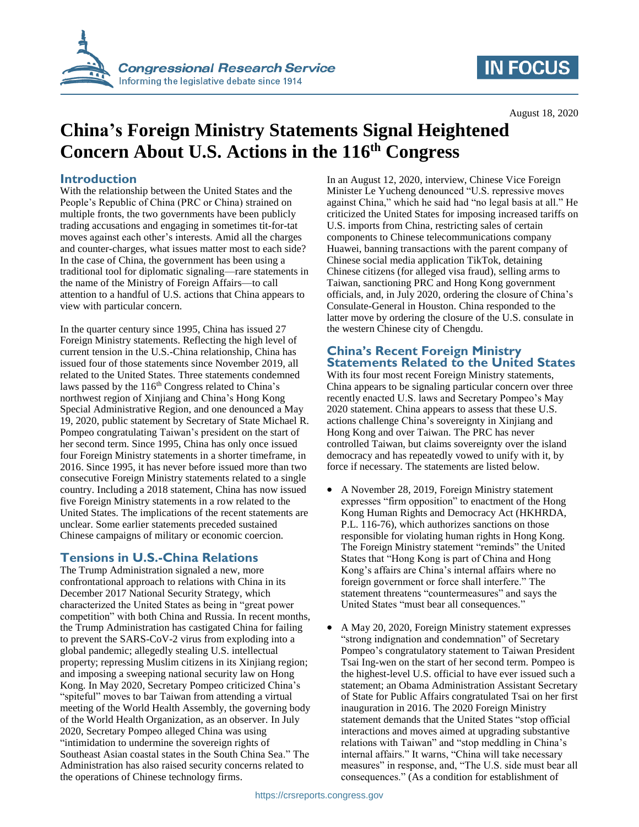

# **IN FOCUS**

August 18, 2020

# **China's Foreign Ministry Statements Signal Heightened Concern About U.S. Actions in the 116th Congress**

### **Introduction**

With the relationship between the United States and the People's Republic of China (PRC or China) strained on multiple fronts, the two governments have been publicly trading accusations and engaging in sometimes tit-for-tat moves against each other's interests. Amid all the charges and counter-charges, what issues matter most to each side? In the case of China, the government has been using a traditional tool for diplomatic signaling—rare statements in the name of the Ministry of Foreign Affairs—to call attention to a handful of U.S. actions that China appears to view with particular concern.

In the quarter century since 1995, China has issued 27 Foreign Ministry statements. Reflecting the high level of current tension in the U.S.-China relationship, China has issued four of those statements since November 2019, all related to the United States. Three statements condemned laws passed by the 116<sup>th</sup> Congress related to China's northwest region of Xinjiang and China's Hong Kong Special Administrative Region, and one denounced a May 19, 2020, public statement by Secretary of State Michael R. Pompeo congratulating Taiwan's president on the start of her second term. Since 1995, China has only once issued four Foreign Ministry statements in a shorter timeframe, in 2016. Since 1995, it has never before issued more than two consecutive Foreign Ministry statements related to a single country. Including a 2018 statement, China has now issued five Foreign Ministry statements in a row related to the United States. The implications of the recent statements are unclear. Some earlier statements preceded sustained Chinese campaigns of military or economic coercion.

## **Tensions in U.S.-China Relations**

The Trump Administration signaled a new, more confrontational approach to relations with China in its December 2017 National Security Strategy, which characterized the United States as being in "great power competition" with both China and Russia. In recent months, the Trump Administration has castigated China for failing to prevent the SARS-CoV-2 virus from exploding into a global pandemic; allegedly stealing U.S. intellectual property; repressing Muslim citizens in its Xinjiang region; and imposing a sweeping national security law on Hong Kong. In May 2020, Secretary Pompeo criticized China's "spiteful" moves to bar Taiwan from attending a virtual meeting of the World Health Assembly, the governing body of the World Health Organization, as an observer. In July 2020, Secretary Pompeo alleged China was using "intimidation to undermine the sovereign rights of Southeast Asian coastal states in the South China Sea." The Administration has also raised security concerns related to the operations of Chinese technology firms.

In an August 12, 2020, interview, Chinese Vice Foreign Minister Le Yucheng denounced "U.S. repressive moves against China," which he said had "no legal basis at all." He criticized the United States for imposing increased tariffs on U.S. imports from China, restricting sales of certain components to Chinese telecommunications company Huawei, banning transactions with the parent company of Chinese social media application TikTok, detaining Chinese citizens (for alleged visa fraud), selling arms to Taiwan, sanctioning PRC and Hong Kong government officials, and, in July 2020, ordering the closure of China's Consulate-General in Houston. China responded to the latter move by ordering the closure of the U.S. consulate in the western Chinese city of Chengdu.

# **China's Recent Foreign Ministry Statements Related to the United States**

With its four most recent Foreign Ministry statements, China appears to be signaling particular concern over three recently enacted U.S. laws and Secretary Pompeo's May 2020 statement. China appears to assess that these U.S. actions challenge China's sovereignty in Xinjiang and Hong Kong and over Taiwan. The PRC has never controlled Taiwan, but claims sovereignty over the island democracy and has repeatedly vowed to unify with it, by force if necessary. The statements are listed below.

- A November 28, 2019, Foreign Ministry statement expresses "firm opposition" to enactment of the Hong Kong Human Rights and Democracy Act (HKHRDA, P.L. 116-76), which authorizes sanctions on those responsible for violating human rights in Hong Kong. The Foreign Ministry statement "reminds" the United States that "Hong Kong is part of China and Hong Kong's affairs are China's internal affairs where no foreign government or force shall interfere." The statement threatens "countermeasures" and says the United States "must bear all consequences."
- A May 20, 2020, Foreign Ministry statement expresses "strong indignation and condemnation" of Secretary Pompeo's congratulatory statement to Taiwan President Tsai Ing-wen on the start of her second term. Pompeo is the highest-level U.S. official to have ever issued such a statement; an Obama Administration Assistant Secretary of State for Public Affairs congratulated Tsai on her first inauguration in 2016. The 2020 Foreign Ministry statement demands that the United States "stop official interactions and moves aimed at upgrading substantive relations with Taiwan" and "stop meddling in China's internal affairs." It warns, "China will take necessary measures" in response, and, "The U.S. side must bear all consequences." (As a condition for establishment of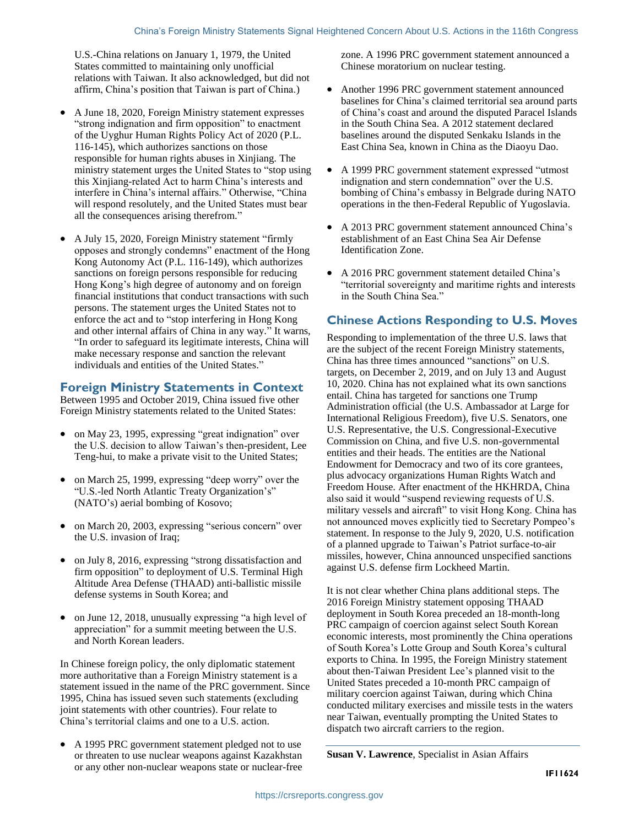U.S.-China relations on January 1, 1979, the United States committed to maintaining only unofficial relations with Taiwan. It also acknowledged, but did not affirm, China's position that Taiwan is part of China.)

- A June 18, 2020, Foreign Ministry statement expresses "strong indignation and firm opposition" to enactment of the Uyghur Human Rights Policy Act of 2020 (P.L. 116-145), which authorizes sanctions on those responsible for human rights abuses in Xinjiang. The ministry statement urges the United States to "stop using this Xinjiang-related Act to harm China's interests and interfere in China's internal affairs." Otherwise, "China will respond resolutely, and the United States must bear all the consequences arising therefrom."
- A July 15, 2020, Foreign Ministry statement "firmly opposes and strongly condemns" enactment of the Hong Kong Autonomy Act (P.L. 116-149), which authorizes sanctions on foreign persons responsible for reducing Hong Kong's high degree of autonomy and on foreign financial institutions that conduct transactions with such persons. The statement urges the United States not to enforce the act and to "stop interfering in Hong Kong and other internal affairs of China in any way." It warns, "In order to safeguard its legitimate interests, China will make necessary response and sanction the relevant individuals and entities of the United States."

## **Foreign Ministry Statements in Context**

Between 1995 and October 2019, China issued five other Foreign Ministry statements related to the United States:

- on May 23, 1995, expressing "great indignation" over the U.S. decision to allow Taiwan's then-president, Lee Teng-hui, to make a private visit to the United States;
- on March 25, 1999, expressing "deep worry" over the "U.S.-led North Atlantic Treaty Organization's" (NATO's) aerial bombing of Kosovo;
- on March 20, 2003, expressing "serious concern" over the U.S. invasion of Iraq;
- on July 8, 2016, expressing "strong dissatisfaction and firm opposition" to deployment of U.S. Terminal High Altitude Area Defense (THAAD) anti-ballistic missile defense systems in South Korea; and
- on June 12, 2018, unusually expressing "a high level of appreciation" for a summit meeting between the U.S. and North Korean leaders.

In Chinese foreign policy, the only diplomatic statement more authoritative than a Foreign Ministry statement is a statement issued in the name of the PRC government. Since 1995, China has issued seven such statements (excluding joint statements with other countries). Four relate to China's territorial claims and one to a U.S. action.

• A 1995 PRC government statement pledged not to use or threaten to use nuclear weapons against Kazakhstan or any other non-nuclear weapons state or nuclear-free zone. A 1996 PRC government statement announced a Chinese moratorium on nuclear testing.

- Another 1996 PRC government statement announced baselines for China's claimed territorial sea around parts of China's coast and around the disputed Paracel Islands in the South China Sea. A 2012 statement declared baselines around the disputed Senkaku Islands in the East China Sea, known in China as the Diaoyu Dao.
- A 1999 PRC government statement expressed "utmost indignation and stern condemnation" over the U.S. bombing of China's embassy in Belgrade during NATO operations in the then-Federal Republic of Yugoslavia.
- A 2013 PRC government statement announced China's establishment of an East China Sea Air Defense Identification Zone.
- A 2016 PRC government statement detailed China's "territorial sovereignty and maritime rights and interests in the South China Sea."

### **Chinese Actions Responding to U.S. Moves**

Responding to implementation of the three U.S. laws that are the subject of the recent Foreign Ministry statements, China has three times announced "sanctions" on U.S. targets, on December 2, 2019, and on July 13 and August 10, 2020. China has not explained what its own sanctions entail. China has targeted for sanctions one Trump Administration official (the U.S. Ambassador at Large for International Religious Freedom), five U.S. Senators, one U.S. Representative, the U.S. Congressional-Executive Commission on China, and five U.S. non-governmental entities and their heads. The entities are the National Endowment for Democracy and two of its core grantees, plus advocacy organizations Human Rights Watch and Freedom House. After enactment of the HKHRDA, China also said it would "suspend reviewing requests of U.S. military vessels and aircraft" to visit Hong Kong. China has not announced moves explicitly tied to Secretary Pompeo's statement. In response to the July 9, 2020, U.S. notification of a planned upgrade to Taiwan's Patriot surface-to-air missiles, however, China announced unspecified sanctions against U.S. defense firm Lockheed Martin.

It is not clear whether China plans additional steps. The 2016 Foreign Ministry statement opposing THAAD deployment in South Korea preceded an 18-month-long PRC campaign of coercion against select South Korean economic interests, most prominently the China operations of South Korea's Lotte Group and South Korea's cultural exports to China. In 1995, the Foreign Ministry statement about then-Taiwan President Lee's planned visit to the United States preceded a 10-month PRC campaign of military coercion against Taiwan, during which China conducted military exercises and missile tests in the waters near Taiwan, eventually prompting the United States to dispatch two aircraft carriers to the region.

**Susan V. Lawrence**, Specialist in Asian Affairs